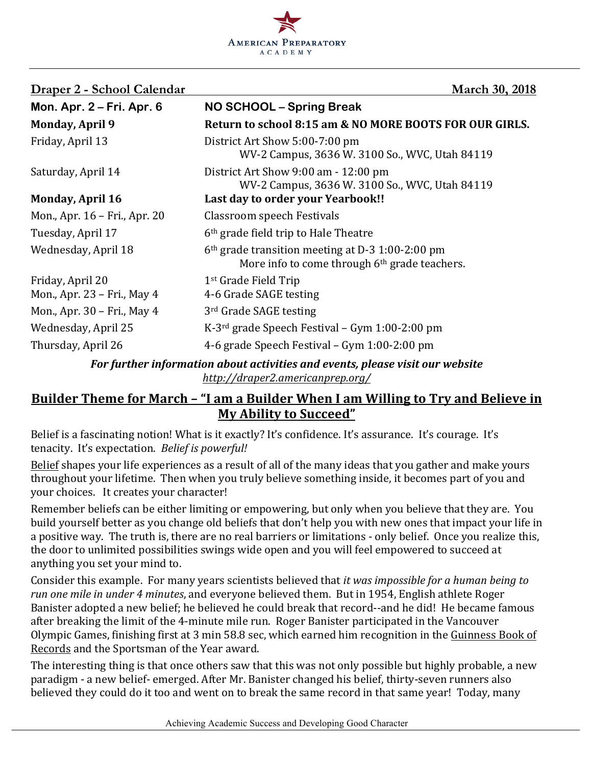

| Draper 2 - School Calendar                                                    | <b>March 30, 2018</b>                                                                                                     |  |
|-------------------------------------------------------------------------------|---------------------------------------------------------------------------------------------------------------------------|--|
| Mon. Apr. 2 – Fri. Apr. 6                                                     | NO SCHOOL - Spring Break                                                                                                  |  |
| <b>Monday, April 9</b>                                                        | Return to school 8:15 am & NO MORE BOOTS FOR OUR GIRLS.                                                                   |  |
| Friday, April 13                                                              | District Art Show 5:00-7:00 pm<br>WV-2 Campus, 3636 W. 3100 So., WVC, Utah 84119                                          |  |
| Saturday, April 14                                                            | District Art Show 9:00 am - 12:00 pm<br>WV-2 Campus, 3636 W. 3100 So., WVC, Utah 84119                                    |  |
| <b>Monday, April 16</b>                                                       | Last day to order your Yearbook!!                                                                                         |  |
| Mon., Apr. 16 – Fri., Apr. 20                                                 | Classroom speech Festivals                                                                                                |  |
| Tuesday, April 17                                                             | 6 <sup>th</sup> grade field trip to Hale Theatre                                                                          |  |
| Wednesday, April 18                                                           | 6 <sup>th</sup> grade transition meeting at D-3 1:00-2:00 pm<br>More info to come through 6 <sup>th</sup> grade teachers. |  |
| Friday, April 20                                                              | 1 <sup>st</sup> Grade Field Trip                                                                                          |  |
| Mon., Apr. 23 – Fri., May 4                                                   | 4-6 Grade SAGE testing                                                                                                    |  |
| Mon., Apr. 30 – Fri., May 4                                                   | 3 <sup>rd</sup> Grade SAGE testing                                                                                        |  |
| Wednesday, April 25                                                           | $K-3^{rd}$ grade Speech Festival – Gym 1:00-2:00 pm                                                                       |  |
| Thursday, April 26                                                            | 4-6 grade Speech Festival – Gym 1:00-2:00 pm                                                                              |  |
| For further information about activities and events, please visit our website |                                                                                                                           |  |

*For further information about activities and events, please visit our website http://draper2.americanprep.org/*

## Builder Theme for March – "I am a Builder When I am Willing to Try and Believe in **My Ability to Succeed"**

Belief is a fascinating notion! What is it exactly? It's confidence. It's assurance. It's courage. It's tenacity. It's expectation. Belief is powerful!

Belief shapes your life experiences as a result of all of the many ideas that you gather and make yours throughout your lifetime. Then when you truly believe something inside, it becomes part of you and your choices. It creates your character!

Remember beliefs can be either limiting or empowering, but only when you believe that they are. You build yourself better as you change old beliefs that don't help you with new ones that impact your life in a positive way. The truth is, there are no real barriers or limitations - only belief. Once you realize this, the door to unlimited possibilities swings wide open and you will feel empowered to succeed at anything you set your mind to.

Consider this example. For many years scientists believed that *it was impossible for a human being to run one mile in under 4 minutes*, and everyone believed them. But in 1954, English athlete Roger Banister adopted a new belief; he believed he could break that record--and he did! He became famous after breaking the limit of the 4-minute mile run. Roger Banister participated in the Vancouver Olympic Games, finishing first at 3 min 58.8 sec, which earned him recognition in the Guinness Book of Records and the Sportsman of the Year award.

The interesting thing is that once others saw that this was not only possible but highly probable, a new paradigm - a new belief- emerged. After Mr. Banister changed his belief, thirty-seven runners also believed they could do it too and went on to break the same record in that same year! Today, many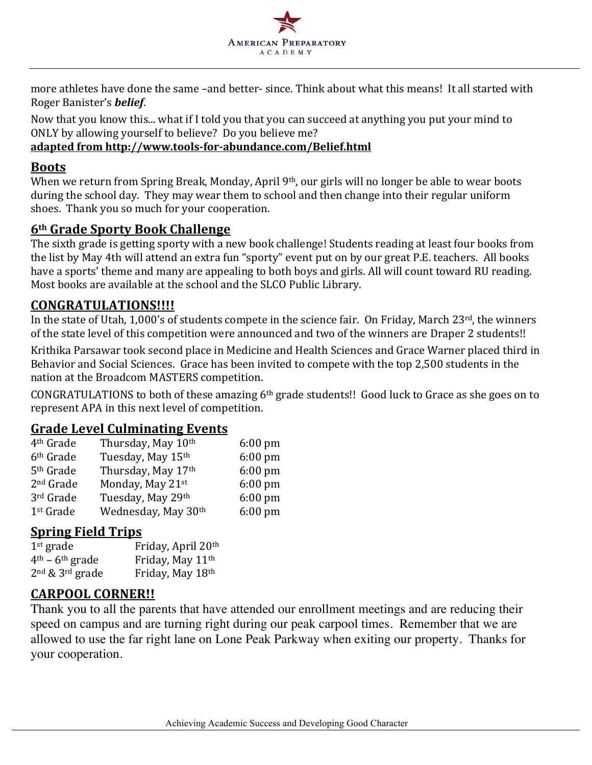

more athletes have done the same -and better- since. Think about what this means! It all started with Roger Banister's *belief*.

Now that you know this... what if I told you that you can succeed at anything you put your mind to ONLY by allowing yourself to believe? Do you believe me?

#### **adapted from http://www.tools-for-abundance.com/Belief.html**

#### **Boots**

When we return from Spring Break, Monday, April  $9<sup>th</sup>$ , our girls will no longer be able to wear boots during the school day. They may wear them to school and then change into their regular uniform shoes. Thank you so much for your cooperation.

## **6th Grade Sporty Book Challenge**

The sixth grade is getting sporty with a new book challenge! Students reading at least four books from the list by May 4th will attend an extra fun "sporty" event put on by our great P.E. teachers. All books have a sports' theme and many are appealing to both boys and girls. All will count toward RU reading. Most books are available at the school and the SLCO Public Library.

## **CONGRATULATIONS!!!!**

In the state of Utah, 1,000's of students compete in the science fair. On Friday, March  $23^{rd}$ , the winners of the state level of this competition were announced and two of the winners are Draper 2 students!!

Krithika Parsawar took second place in Medicine and Health Sciences and Grace Warner placed third in Behavior and Social Sciences. Grace has been invited to compete with the top 2,500 students in the nation at the Broadcom MASTERS competition.

CONGRATULATIONS to both of these amazing  $6<sup>th</sup>$  grade students!! Good luck to Grace as she goes on to represent APA in this next level of competition.

## **Grade Level Culminating Events**

| Thursday, May 10th  | $6:00$ pm |
|---------------------|-----------|
| Tuesday, May 15th   | $6:00$ pm |
| Thursday, May 17th  | $6:00$ pm |
| Monday, May 21st    | $6:00$ pm |
| Tuesday, May 29th   | $6:00$ pm |
| Wednesday, May 30th | 6:00 pm   |
|                     |           |

## **Spring Field Trips**

| $1st$ grade         | Friday, April 20th           |
|---------------------|------------------------------|
| $4th - 6th$ grade   | Friday, May 11 <sup>th</sup> |
| $2nd$ & $3rd$ grade | Friday, May 18th             |

## **CARPOOL CORNER!!**

Thank you to all the parents that have attended our enrollment meetings and are reducing their speed on campus and are turning right during our peak carpool times. Remember that we are allowed to use the far right lane on Lone Peak Parkway when exiting our property. Thanks for your cooperation.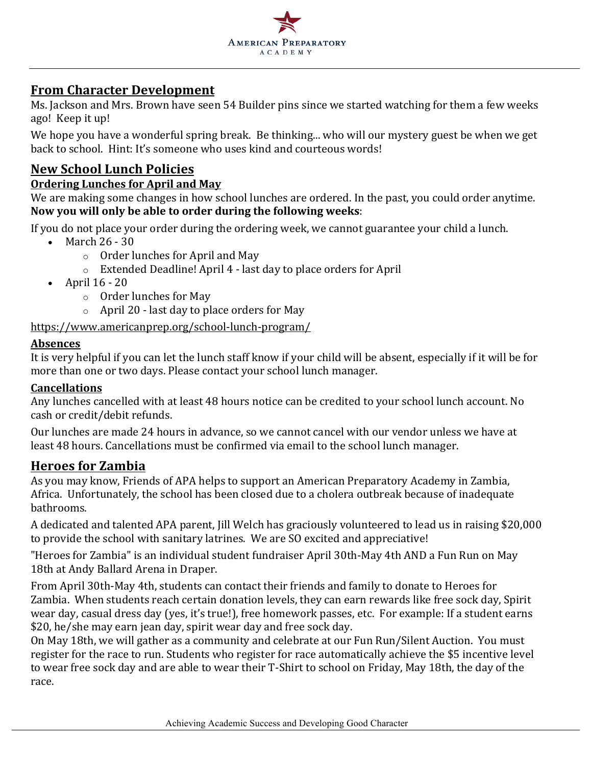

## **From Character Development**

Ms. Jackson and Mrs. Brown have seen 54 Builder pins since we started watching for them a few weeks ago! Keep it up!

We hope you have a wonderful spring break. Be thinking... who will our mystery guest be when we get back to school. Hint: It's someone who uses kind and courteous words!

## **New School Lunch Policies**

#### **Ordering Lunches for April and May**

We are making some changes in how school lunches are ordered. In the past, you could order anytime. Now you will only be able to order during the following weeks:

If you do not place your order during the ordering week, we cannot guarantee your child a lunch.

- March  $26 30$ 
	- $\circ$  Order lunches for April and May
	- $\circ$  Extended Deadline! April 4 last day to place orders for April
- April  $16 20$ 
	- $\circ$  Order lunches for May
	- $\circ$  April 20 last day to place orders for May

#### https://www.americanprep.org/school-lunch-program/

#### **Absences**

It is very helpful if you can let the lunch staff know if your child will be absent, especially if it will be for more than one or two days. Please contact your school lunch manager.

#### **Cancellations**

Any lunches cancelled with at least 48 hours notice can be credited to your school lunch account. No cash or credit/debit refunds.

Our lunches are made 24 hours in advance, so we cannot cancel with our vendor unless we have at least 48 hours. Cancellations must be confirmed via email to the school lunch manager.

#### **Heroes for Zambia**

As you may know, Friends of APA helps to support an American Preparatory Academy in Zambia, Africa. Unfortunately, the school has been closed due to a cholera outbreak because of inadequate bathrooms. 

A dedicated and talented APA parent, Jill Welch has graciously volunteered to lead us in raising \$20,000 to provide the school with sanitary latrines. We are SO excited and appreciative!

"Heroes for Zambia" is an individual student fundraiser April 30th-May 4th AND a Fun Run on May 18th at Andy Ballard Arena in Draper.

From April 30th-May 4th, students can contact their friends and family to donate to Heroes for Zambia. When students reach certain donation levels, they can earn rewards like free sock day, Spirit wear day, casual dress day (yes, it's true!), free homework passes, etc. For example: If a student earns \$20, he/she may earn jean day, spirit wear day and free sock day.

On May 18th, we will gather as a community and celebrate at our Fun Run/Silent Auction. You must register for the race to run. Students who register for race automatically achieve the \$5 incentive level to wear free sock day and are able to wear their T-Shirt to school on Friday, May 18th, the day of the race.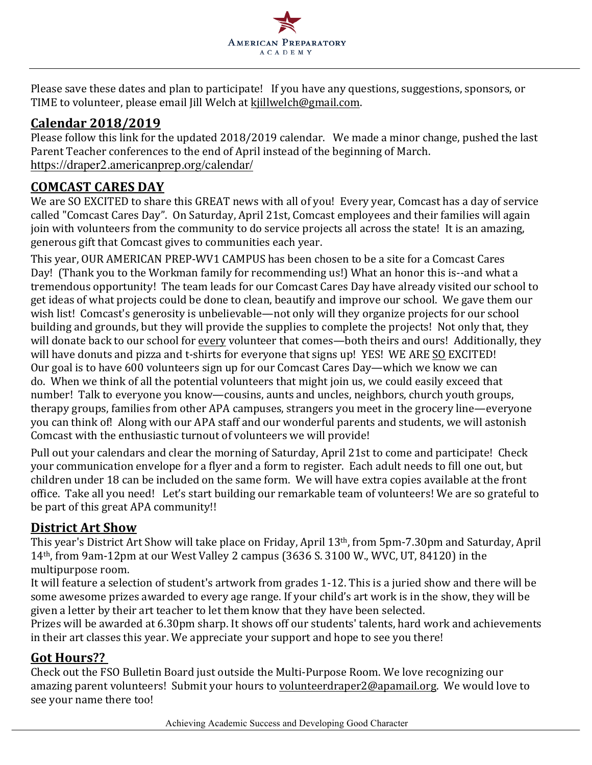

Please save these dates and plan to participate! If you have any questions, suggestions, sponsors, or TIME to volunteer, please email [ill Welch at kjillwelch@gmail.com.

## **Calendar 2018/2019**

Please follow this link for the updated 2018/2019 calendar. We made a minor change, pushed the last Parent Teacher conferences to the end of April instead of the beginning of March. https://draper2.americanprep.org/calendar/

## **COMCAST CARES DAY**

We are SO EXCITED to share this GREAT news with all of you! Every year, Comcast has a day of service called "Comcast Cares Day". On Saturday, April 21st, Comcast employees and their families will again join with volunteers from the community to do service projects all across the state! It is an amazing, generous gift that Comcast gives to communities each year.

This year, OUR AMERICAN PREP-WV1 CAMPUS has been chosen to be a site for a Comcast Cares Day! (Thank you to the Workman family for recommending us!) What an honor this is--and what a tremendous opportunity! The team leads for our Comcast Cares Day have already visited our school to get ideas of what projects could be done to clean, beautify and improve our school. We gave them our wish list! Comcast's generosity is unbelievable—not only will they organize projects for our school building and grounds, but they will provide the supplies to complete the projects! Not only that, they will donate back to our school for every volunteer that comes—both theirs and ours! Additionally, they will have donuts and pizza and t-shirts for everyone that signs up! YES! WE ARE SO EXCITED! Our goal is to have 600 volunteers sign up for our Comcast Cares Day—which we know we can do. When we think of all the potential volunteers that might join us, we could easily exceed that number! Talk to everyone you know—cousins, aunts and uncles, neighbors, church youth groups, therapy groups, families from other APA campuses, strangers you meet in the grocery line—everyone you can think of! Along with our APA staff and our wonderful parents and students, we will astonish Comcast with the enthusiastic turnout of volunteers we will provide!

Pull out your calendars and clear the morning of Saturday, April 21st to come and participate! Check your communication envelope for a flyer and a form to register. Each adult needs to fill one out, but children under 18 can be included on the same form. We will have extra copies available at the front office. Take all you need! Let's start building our remarkable team of volunteers! We are so grateful to be part of this great APA community!!

## **District Art Show**

This year's District Art Show will take place on Friday, April 13<sup>th</sup>, from 5pm-7.30pm and Saturday, April 14<sup>th</sup>, from 9am-12pm at our West Valley 2 campus  $(3636 \text{ S} \cdot 3100 \text{ W}$ , WVC, UT, 84120) in the multipurpose room.

It will feature a selection of student's artwork from grades 1-12. This is a juried show and there will be some awesome prizes awarded to every age range. If your child's art work is in the show, they will be given a letter by their art teacher to let them know that they have been selected.

Prizes will be awarded at 6.30pm sharp. It shows off our students' talents, hard work and achievements in their art classes this year. We appreciate your support and hope to see you there!

## Got Hours??

Check out the FSO Bulletin Board just outside the Multi-Purpose Room. We love recognizing our amazing parent volunteers! Submit your hours to volunteerdraper2@apamail.org. We would love to see your name there too!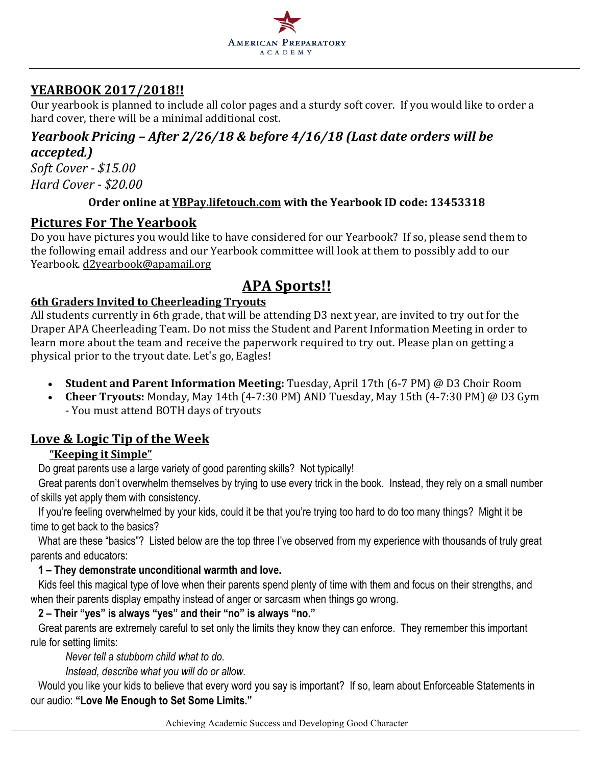

## **YEARBOOK 2017/2018!!**

Our yearbook is planned to include all color pages and a sturdy soft cover. If you would like to order a hard cover, there will be a minimal additional cost.

## *Yearbook Pricing* – *After 2/26/18 & before 4/16/18 (Last date orders will be accepted.)*

*Soft Cover - \$15.00 Hard Cover - \$20.00*

## **Order online at YBPay.lifetouch.com with the Yearbook ID code: 13453318**

## **Pictures For The Yearbook**

Do you have pictures you would like to have considered for our Yearbook? If so, please send them to the following email address and our Yearbook committee will look at them to possibly add to our Yearbook. d2yearbook@apamail.org

## **APA Sports!!**

## **6th Graders Invited to Cheerleading Tryouts**

All students currently in 6th grade, that will be attending D3 next year, are invited to try out for the Draper APA Cheerleading Team. Do not miss the Student and Parent Information Meeting in order to learn more about the team and receive the paperwork required to try out. Please plan on getting a physical prior to the tryout date. Let's go, Eagles!

- **Student and Parent Information Meeting:** Tuesday, April 17th (6-7 PM) @ D3 Choir Room
- Cheer Tryouts: Monday, May 14th (4-7:30 PM) AND Tuesday, May 15th (4-7:30 PM) @ D3 Gym - You must attend BOTH days of tryouts

## **Love & Logic Tip of the Week**

## **"Keeping it Simple"**

Do great parents use a large variety of good parenting skills? Not typically!

Great parents don't overwhelm themselves by trying to use every trick in the book. Instead, they rely on a small number of skills yet apply them with consistency.

If you're feeling overwhelmed by your kids, could it be that you're trying too hard to do too many things? Might it be time to get back to the basics?

What are these "basics"? Listed below are the top three I've observed from my experience with thousands of truly great parents and educators:

## **1 – They demonstrate unconditional warmth and love.**

Kids feel this magical type of love when their parents spend plenty of time with them and focus on their strengths, and when their parents display empathy instead of anger or sarcasm when things go wrong.

## **2 – Their "yes" is always "yes" and their "no" is always "no."**

Great parents are extremely careful to set only the limits they know they can enforce. They remember this important rule for setting limits:

*Never tell a stubborn child what to do.*

*Instead, describe what you will do or allow.*

Would you like your kids to believe that every word you say is important? If so, learn about Enforceable Statements in our audio: **"Love Me Enough to Set Some Limits."**